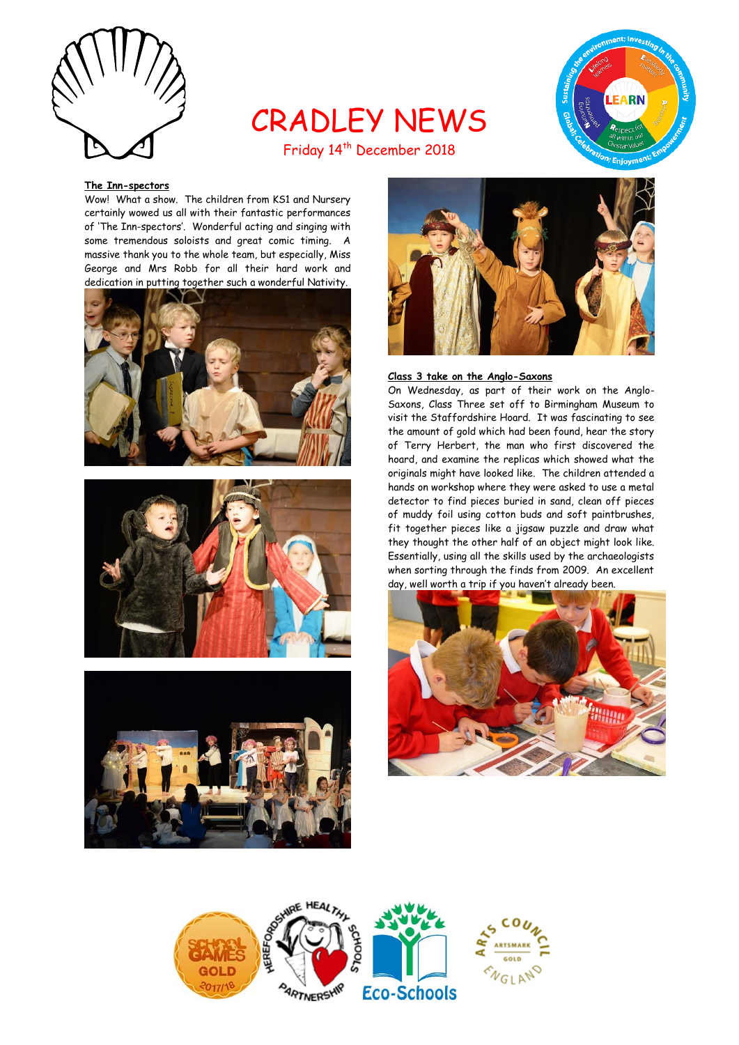

# CRADLEY NEWS Friday 14<sup>th</sup> December 2018



# **The Inn-spectors**

Wow! What a show. The children from KS1 and Nursery certainly wowed us all with their fantastic performances of 'The Inn-spectors'. Wonderful acting and singing with some tremendous soloists and great comic timing. A massive thank you to the whole team, but especially, Miss George and Mrs Robb for all their hard work and dedication in putting together such a wonderful Nativity.









# **Class 3 take on the Anglo-Saxons**

On Wednesday, as part of their work on the Anglo-Saxons, Class Three set off to Birmingham Museum to visit the Staffordshire Hoard. It was fascinating to see the amount of gold which had been found, hear the story of Terry Herbert, the man who first discovered the hoard, and examine the replicas which showed what the originals might have looked like. The children attended a hands on workshop where they were asked to use a metal detector to find pieces buried in sand, clean off pieces of muddy foil using cotton buds and soft paintbrushes, fit together pieces like a jigsaw puzzle and draw what they thought the other half of an object might look like. Essentially, using all the skills used by the archaeologists when sorting through the finds from 2009. An excellent day, well worth a trip if you haven't already been.



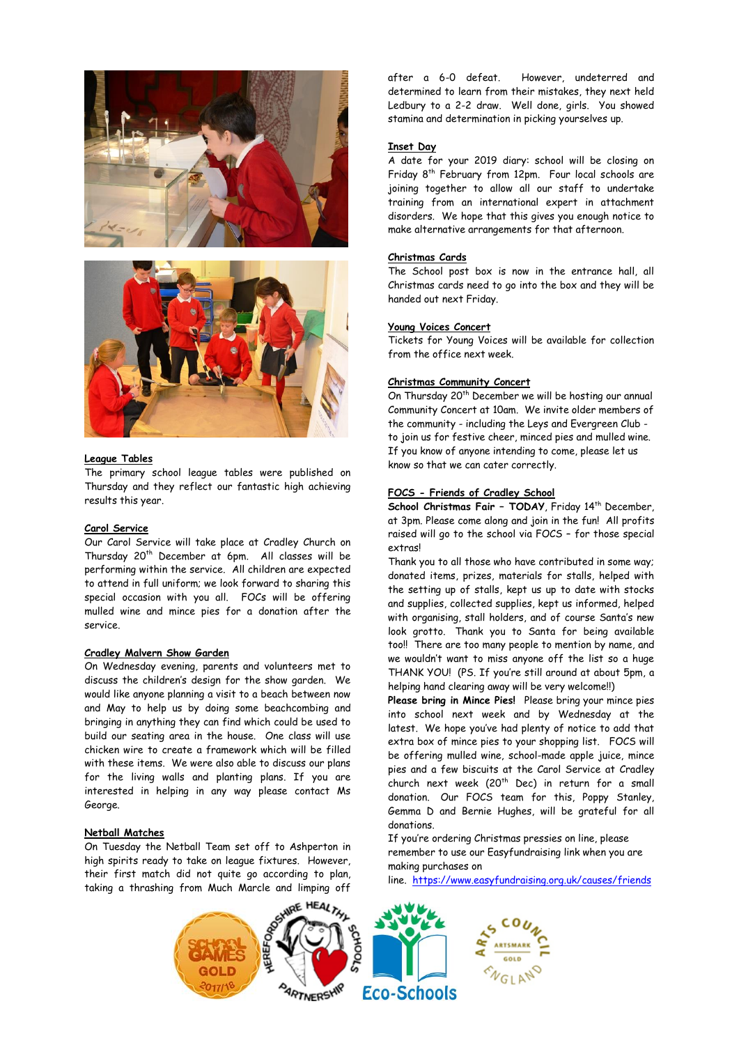



#### **League Tables**

The primary school league tables were published on Thursday and they reflect our fantastic high achieving results this year.

#### **Carol Service**

Our Carol Service will take place at Cradley Church on Thursday 20th December at 6pm. All classes will be performing within the service. All children are expected to attend in full uniform; we look forward to sharing this special occasion with you all. FOCs will be offering mulled wine and mince pies for a donation after the service.

## **Cradley Malvern Show Garden**

On Wednesday evening, parents and volunteers met to discuss the children's design for the show garden. We would like anyone planning a visit to a beach between now and May to help us by doing some beachcombing and bringing in anything they can find which could be used to build our seating area in the house. One class will use chicken wire to create a framework which will be filled with these items. We were also able to discuss our plans for the living walls and planting plans. If you are interested in helping in any way please contact Ms George.

## **Netball Matches**

On Tuesday the Netball Team set off to Ashperton in high spirits ready to take on league fixtures. However, their first match did not quite go according to plan, taking a thrashing from Much Marcle and limping off

after a 6-0 defeat. However, undeterred and determined to learn from their mistakes, they next held Ledbury to a 2-2 draw. Well done, girls. You showed stamina and determination in picking yourselves up.

#### **Inset Day**

A date for your 2019 diary: school will be closing on Friday 8th February from 12pm. Four local schools are joining together to allow all our staff to undertake training from an international expert in attachment disorders. We hope that this gives you enough notice to make alternative arrangements for that afternoon.

#### **Christmas Cards**

The School post box is now in the entrance hall, all Christmas cards need to go into the box and they will be handed out next Friday.

## **Young Voices Concert**

Tickets for Young Voices will be available for collection from the office next week.

#### **Christmas Community Concert**

On Thursday 20<sup>th</sup> December we will be hosting our annual Community Concert at 10am. We invite older members of the community - including the Leys and Evergreen Club to join us for festive cheer, minced pies and mulled wine. If you know of anyone intending to come, please let us know so that we can cater correctly.

## **FOCS - Friends of Cradley School**

**School Christmas Fair – TODAY**, Friday 14th December, at 3pm. Please come along and join in the fun! All profits raised will go to the school via FOCS – for those special extras!

Thank you to all those who have contributed in some way; donated items, prizes, materials for stalls, helped with the setting up of stalls, kept us up to date with stocks and supplies, collected supplies, kept us informed, helped with organising, stall holders, and of course Santa's new look grotto. Thank you to Santa for being available too!! There are too many people to mention by name, and we wouldn't want to miss anyone off the list so a huge THANK YOU! (PS. If you're still around at about 5pm, a helping hand clearing away will be very welcome!!)

**Please bring in Mince Pies!** Please bring your mince pies into school next week and by Wednesday at the latest. We hope you've had plenty of notice to add that extra box of mince pies to your shopping list. FOCS will be offering mulled wine, school-made apple juice, mince pies and a few biscuits at the Carol Service at Cradley church next week (20<sup>th</sup> Dec) in return for a small donation. Our FOCS team for this, Poppy Stanley, Gemma D and Bernie Hughes, will be grateful for all donations.

If you're ordering Christmas pressies on line, please remember to use our Easyfundraising link when you are making purchases on

line. [https://www.easyfundraising.org.uk/causes/friends](https://www.easyfundraising.org.uk/causes/friendsofcradleyschool/)

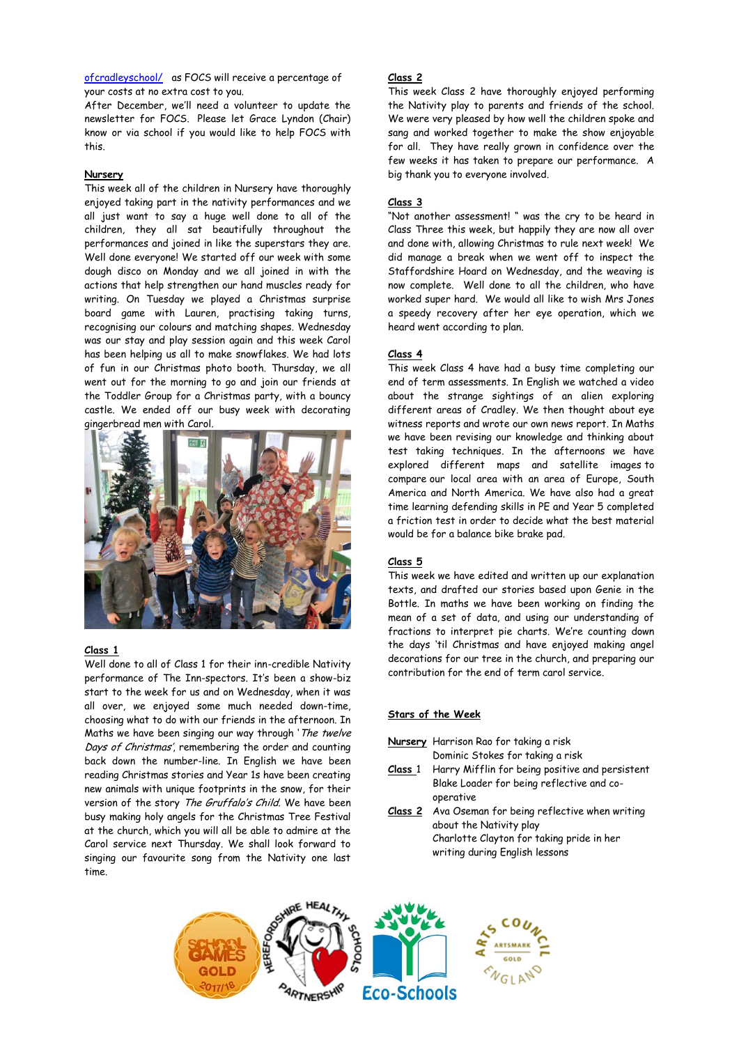[ofcradleyschool/](https://www.easyfundraising.org.uk/causes/friendsofcradleyschool/) as FOCS will receive a percentage of your costs at no extra cost to you.

After December, we'll need a volunteer to update the newsletter for FOCS. Please let Grace Lyndon (Chair) know or via school if you would like to help FOCS with this.

## **Nursery**

This week all of the children in Nursery have thoroughly enjoyed taking part in the nativity performances and we all just want to say a huge well done to all of the children, they all sat beautifully throughout the performances and joined in like the superstars they are. Well done everyone! We started off our week with some dough disco on Monday and we all joined in with the actions that help strengthen our hand muscles ready for writing. On Tuesday we played a Christmas surprise board game with Lauren, practising taking turns, recognising our colours and matching shapes. Wednesday was our stay and play session again and this week Carol has been helping us all to make snowflakes. We had lots of fun in our Christmas photo booth. Thursday, we all went out for the morning to go and join our friends at the Toddler Group for a Christmas party, with a bouncy castle. We ended off our busy week with decorating gingerbread men with Carol.



## **Class 1**

Well done to all of Class 1 for their inn-credible Nativity performance of The Inn-spectors. It's been a show-biz start to the week for us and on Wednesday, when it was all over, we enjoyed some much needed down-time, choosing what to do with our friends in the afternoon. In Maths we have been singing our way through 'The twelve Days of Christmas', remembering the order and counting back down the number-line. In English we have been reading Christmas stories and Year 1s have been creating new animals with unique footprints in the snow, for their version of the story The Gruffalo's Child. We have been busy making holy angels for the Christmas Tree Festival at the church, which you will all be able to admire at the Carol service next Thursday. We shall look forward to singing our favourite song from the Nativity one last time.

# **Class 2**

This week Class 2 have thoroughly enjoyed performing the Nativity play to parents and friends of the school. We were very pleased by how well the children spoke and sang and worked together to make the show enjoyable for all. They have really grown in confidence over the few weeks it has taken to prepare our performance. A big thank you to everyone involved.

#### **Class 3**

"Not another assessment! " was the cry to be heard in Class Three this week, but happily they are now all over and done with, allowing Christmas to rule next week! We did manage a break when we went off to inspect the Staffordshire Hoard on Wednesday, and the weaving is now complete. Well done to all the children, who have worked super hard. We would all like to wish Mrs Jones a speedy recovery after her eye operation, which we heard went according to plan.

#### **Class 4**

This week Class 4 have had a busy time completing our end of term assessments. In English we watched a video about the strange sightings of an alien exploring different areas of Cradley. We then thought about eye witness reports and wrote our own news report. In Maths we have been revising our knowledge and thinking about test taking techniques. In the afternoons we have explored different maps and satellite images to compare our local area with an area of Europe, South America and North America. We have also had a great time learning defending skills in PE and Year 5 completed a friction test in order to decide what the best material would be for a balance bike brake pad.

#### **Class 5**

This week we have edited and written up our explanation texts, and drafted our stories based upon Genie in the Bottle. In maths we have been working on finding the mean of a set of data, and using our understanding of fractions to interpret pie charts. We're counting down the days 'til Christmas and have enjoyed making angel decorations for our tree in the church, and preparing our contribution for the end of term carol service.

# **Stars of the Week**

**Nursery** Harrison Rao for taking a risk Dominic Stokes for taking a risk **Class** 1 Harry Mifflin for being positive and persistent Blake Loader for being reflective and cooperative **Class 2** Ava Oseman for being reflective when writing about the Nativity play Charlotte Clayton for taking pride in her writing during English lessons